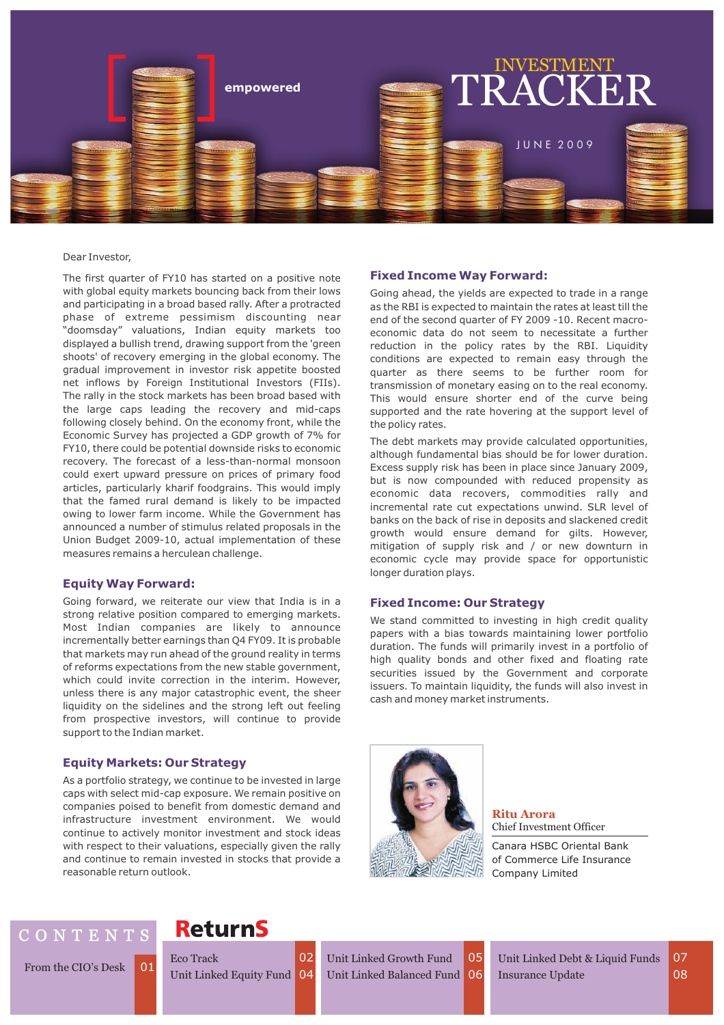

#### Dear Investor,

The first quarter of FY10 has started on a positive note with global equity markets bouncing back from their lows and participating in a broad based rally. After a protracted phase of extreme pessimism discounting near "doomsday" valuations, Indian equity markets too displayed a bullish trend, drawing support from the 'green shoots' of recovery emerging in the global economy. The gradual improvement in investor risk appetite boosted net inflows by Foreign Institutional Investors (FIIs). The rally in the stock markets has been broad based with the large caps leading the recovery and mid-caps following closely behind. On the economy front, while the Economic Survey has projected a GDP growth of 7% for FY10, there could be potential downside risks to economic recovery. The forecast of a less-than-normal monsoon could exert upward pressure on prices of primary food articles, particularly kharif foodgrains. This would imply that the famed rural demand is likely to be impacted owing to lower farm income. While the Government has announced a number of stimulus related proposals in the Union Budget 2009-10, actual implementation of these measures remains a herculean challenge.

### **Equity Way Forward:**

Going forward, we reiterate our view that India is in a strong relative position compared to emerging markets. Most Indian companies are likely to announce incrementally better earnings than Q4 FY09. It is probable that markets may run ahead of the ground reality in terms of reforms expectations from the new stable government, which could invite correction in the interim. However, unless there is any major catastrophic event, the sheer liquidity on the sidelines and the strong left out feeling from prospective investors, will continue to provide support to the Indian market.

## **Equity Markets: Our Strategy**

As a portfolio strategy, we continue to be invested in large caps with select mid-cap exposure. We remain positive on companies poised to benefit from domestic demand and infrastructure investment environment. We would continue to actively monitor investment and stock ideas with respect to their valuations, especially given the rally and continue to remain invested in stocks that provide a reasonable return outlook.

#### **Fixed Income Way Forward:**

Going ahead, the yields are expected to trade in a range as the RBI is expected to maintain the rates at least till the end of the second quarter of FY 2009 -10. Recent macroeconomic data do not seem to necessitate a further reduction in the policy rates by the RBI. Liquidity conditions are expected to remain easy through the quarter as there seems to be further room for transmission of monetary easing on to the real economy. This would ensure shorter end of the curve being supported and the rate hovering at the support level of the policy rates.

The debt markets may provide calculated opportunities, although fundamental bias should be for lower duration. Excess supply risk has been in place since January 2009, but is now compounded with reduced propensity as economic data recovers, commodities rally and incremental rate cut expectations unwind. SLR level of banks on the back of rise in deposits and slackened credit growth would ensure demand for gilts. However, mitigation of supply risk and / or new downturn in economic cycle may provide space for opportunistic longer duration plays.

### **Fixed Income: Our Strategy**

We stand committed to investing in high credit quality papers with a bias towards maintaining lower portfolio duration. The funds will primarily invest in a portfolio of high quality bonds and other fixed and floating rate securities issued by the Government and corporate issuers. To maintain liquidity, the funds will also invest in cash and money market instruments.



**Ritu Arora** Chief Investment Officer

Canara HSBC Oriental Bank of Commerce Life Insurance Company Limited

# C O N T E N T S

From the CIO's Desk 01

# **ReturnS**

Unit Linked Equity Fund 04 Eco Track **02** 

Unit Linked Growth Fund 04 Unit Linked Balanced Fund 06

Insurance Update **08** 05 Unit Linked Debt & Liquid Funds 07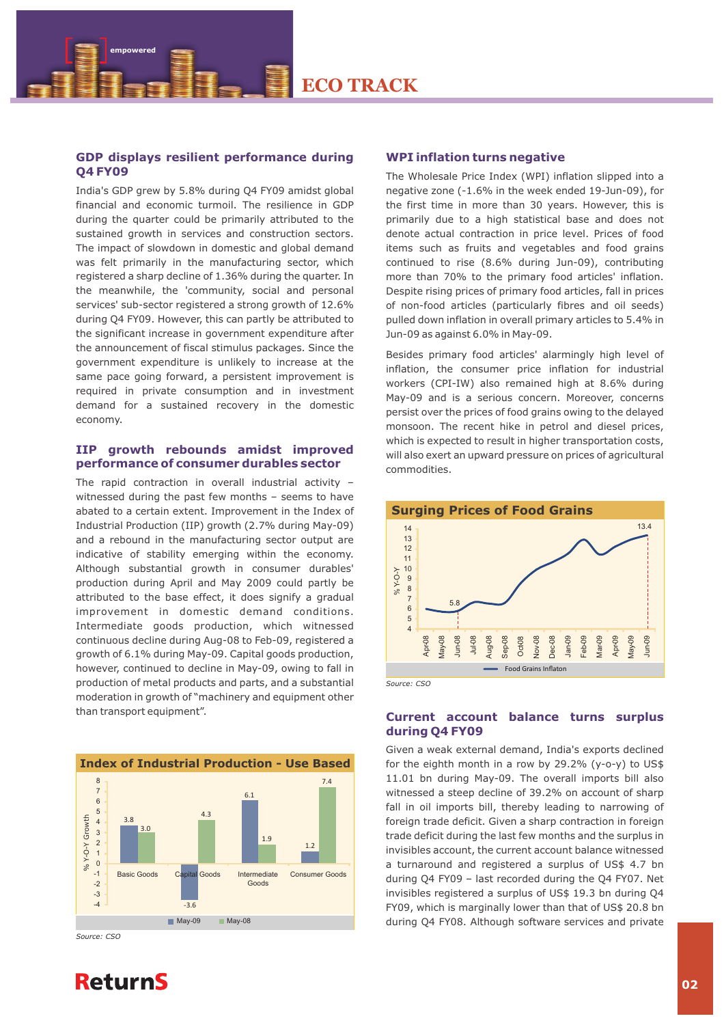# **GDP displays resilient performance during Q4 FY09**

 **empowered**

India's GDP grew by 5.8% during Q4 FY09 amidst global financial and economic turmoil. The resilience in GDP during the quarter could be primarily attributed to the sustained growth in services and construction sectors. The impact of slowdown in domestic and global demand was felt primarily in the manufacturing sector, which registered a sharp decline of 1.36% during the quarter. In the meanwhile, the 'community, social and personal services' sub-sector registered a strong growth of 12.6% during Q4 FY09. However, this can partly be attributed to the significant increase in government expenditure after the announcement of fiscal stimulus packages. Since the government expenditure is unlikely to increase at the same pace going forward, a persistent improvement is required in private consumption and in investment demand for a sustained recovery in the domestic economy.

### **IIP growth rebounds amidst improved performance of consumer durables sector**

The rapid contraction in overall industrial activity – witnessed during the past few months – seems to have abated to a certain extent. Improvement in the Index of Industrial Production (IIP) growth (2.7% during May-09) and a rebound in the manufacturing sector output are indicative of stability emerging within the economy. Although substantial growth in consumer durables' production during April and May 2009 could partly be attributed to the base effect, it does signify a gradual improvement in domestic demand conditions. Intermediate goods production, which witnessed continuous decline during Aug-08 to Feb-09, registered a growth of 6.1% during May-09. Capital goods production, however, continued to decline in May-09, owing to fall in production of metal products and parts, and a substantial moderation in growth of "machinery and equipment other than transport equipment".



*Source: CSO*

### **WPI inflation turns negative**

The Wholesale Price Index (WPI) inflation slipped into a negative zone (-1.6% in the week ended 19-Jun-09), for the first time in more than 30 years. However, this is primarily due to a high statistical base and does not denote actual contraction in price level. Prices of food items such as fruits and vegetables and food grains continued to rise (8.6% during Jun-09), contributing more than 70% to the primary food articles' inflation. Despite rising prices of primary food articles, fall in prices of non-food articles (particularly fibres and oil seeds) pulled down inflation in overall primary articles to 5.4% in Jun-09 as against 6.0% in May-09.

Besides primary food articles' alarmingly high level of inflation, the consumer price inflation for industrial workers (CPI-IW) also remained high at 8.6% during May-09 and is a serious concern. Moreover, concerns persist over the prices of food grains owing to the delayed monsoon. The recent hike in petrol and diesel prices, which is expected to result in higher transportation costs, will also exert an upward pressure on prices of agricultural commodities.



# **Current account balance turns surplus during Q4 FY09**

Given a weak external demand, India's exports declined for the eighth month in a row by 29.2% (y-o-y) to  $US\$ 11.01 bn during May-09. The overall imports bill also witnessed a steep decline of 39.2% on account of sharp fall in oil imports bill, thereby leading to narrowing of foreign trade deficit. Given a sharp contraction in foreign trade deficit during the last few months and the surplus in invisibles account, the current account balance witnessed a turnaround and registered a surplus of US\$ 4.7 bn during Q4 FY09 – last recorded during the Q4 FY07. Net invisibles registered a surplus of US\$ 19.3 bn during Q4 FY09, which is marginally lower than that of US\$ 20.8 bn during Q4 FY08. Although software services and private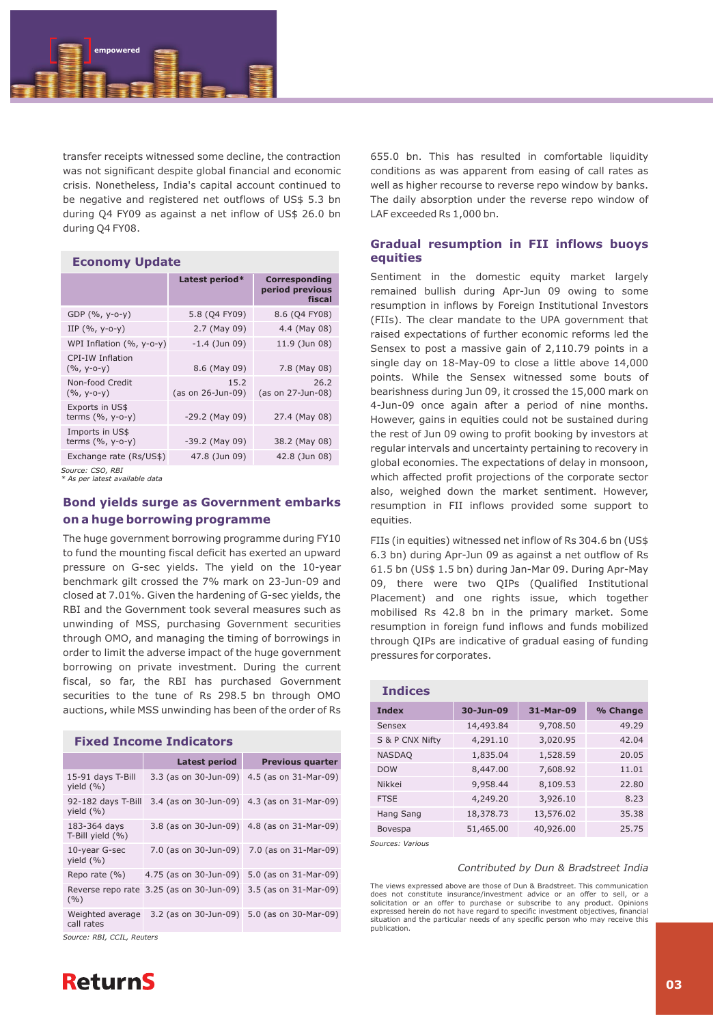

transfer receipts witnessed some decline, the contraction was not significant despite global financial and economic crisis. Nonetheless, India's capital account continued to be negative and registered net outflows of US\$ 5.3 bn during Q4 FY09 as against a net inflow of US\$ 26.0 bn during Q4 FY08.

### **Economy Update**

|                                        | Latest period*            | <b>Corresponding</b><br>period previous<br>fiscal |
|----------------------------------------|---------------------------|---------------------------------------------------|
| GDP $(% , y-o-y)$                      | 5.8 (Q4 FY09)             | 8.6 (Q4 FY08)                                     |
| IIP $(% , y-o-y)$                      | 2.7 (May 09)              | 4.4 (May 08)                                      |
| WPI Inflation $(\%$ , y-o-y)           | $-1.4$ (Jun 09)           | 11.9 (Jun 08)                                     |
| CPI-IW Inflation<br>$(% , y-o-y)$      | 8.6 (May 09)              | 7.8 (May 08)                                      |
| Non-food Credit<br>$(%$ , y-o-y)       | 15.2<br>(as on 26-Jun-09) | 26.2<br>(as on 27-Jun-08)                         |
| Exports in US\$<br>terms $(% , y-o-y)$ | $-29.2$ (May 09)          | 27.4 (May 08)                                     |
| Imports in US\$<br>terms $(%, y-o-y)$  | $-39.2$ (May 09)          | 38.2 (May 08)                                     |
| Exchange rate (Rs/US\$)                | 47.8 (Jun 09)             | 42.8 (Jun 08)                                     |

*Source: CSO, RBI*

*\* As per latest available data* 

# **Bond yields surge as Government embarks on a huge borrowing programme**

The huge government borrowing programme during FY10 to fund the mounting fiscal deficit has exerted an upward pressure on G-sec yields. The yield on the 10-year benchmark gilt crossed the 7% mark on 23-Jun-09 and closed at 7.01%. Given the hardening of G-sec yields, the RBI and the Government took several measures such as unwinding of MSS, purchasing Government securities through OMO, and managing the timing of borrowings in order to limit the adverse impact of the huge government borrowing on private investment. During the current fiscal, so far, the RBI has purchased Government securities to the tune of Rs 298.5 bn through OMO auctions, while MSS unwinding has been of the order of Rs

| <b>Fixed Income Indicators</b>      |                                                                |                                             |  |
|-------------------------------------|----------------------------------------------------------------|---------------------------------------------|--|
|                                     | Latest period                                                  | <b>Previous quarter</b>                     |  |
| 15-91 days T-Bill<br>yield $(\% )$  |                                                                | 3.3 (as on 30-Jun-09) 4.5 (as on 31-Mar-09) |  |
| 92-182 days T-Bill<br>yield $(\%)$  |                                                                | 3.4 (as on 30-Jun-09) 4.3 (as on 31-Mar-09) |  |
| 183-364 days<br>T-Bill yield $(% )$ |                                                                | 3.8 (as on 30-Jun-09) 4.8 (as on 31-Mar-09) |  |
| 10-year G-sec<br>yield $(\% )$      |                                                                | 7.0 (as on 30-Jun-09) 7.0 (as on 31-Mar-09) |  |
| Repo rate $(% )$                    | 4.75 (as on 30-Jun-09) 5.0 (as on 31-Mar-09)                   |                                             |  |
| (9/6)                               | Reverse repo rate 3.25 (as on 30-Jun-09) 3.5 (as on 31-Mar-09) |                                             |  |
| Weighted average<br>call rates      |                                                                | 3.2 (as on 30-Jun-09) 5.0 (as on 30-Mar-09) |  |

*Source: RBI, CCIL, Reuters*



655.0 bn. This has resulted in comfortable liquidity conditions as was apparent from easing of call rates as well as higher recourse to reverse repo window by banks. The daily absorption under the reverse repo window of LAF exceeded Rs 1,000 bn.

# **Gradual resumption in FII inflows buoys equities**

Sentiment in the domestic equity market largely remained bullish during Apr-Jun 09 owing to some resumption in inflows by Foreign Institutional Investors (FIIs). The clear mandate to the UPA government that raised expectations of further economic reforms led the Sensex to post a massive gain of 2,110.79 points in a single day on 18-May-09 to close a little above 14,000 points. While the Sensex witnessed some bouts of bearishness during Jun 09, it crossed the 15,000 mark on 4-Jun-09 once again after a period of nine months. However, gains in equities could not be sustained during the rest of Jun 09 owing to profit booking by investors at regular intervals and uncertainty pertaining to recovery in global economies. The expectations of delay in monsoon, which affected profit projections of the corporate sector also, weighed down the market sentiment. However, resumption in FII inflows provided some support to equities.

FIIs (in equities) witnessed net inflow of Rs 304.6 bn (US\$ 6.3 bn) during Apr-Jun 09 as against a net outflow of Rs 61.5 bn (US\$ 1.5 bn) during Jan-Mar 09. During Apr-May 09, there were two QIPs (Qualified Institutional Placement) and one rights issue, which together mobilised Rs 42.8 bn in the primary market. Some resumption in foreign fund inflows and funds mobilized through QIPs are indicative of gradual easing of funding pressures for corporates.

| <b>Indices</b>  |           |           |          |
|-----------------|-----------|-----------|----------|
| <b>Index</b>    | 30-Jun-09 | 31-Mar-09 | % Change |
| Sensex          | 14,493.84 | 9,708.50  | 49.29    |
| S & P CNX Nifty | 4,291.10  | 3,020.95  | 42.04    |
| <b>NASDAQ</b>   | 1,835.04  | 1,528.59  | 20.05    |
| <b>DOW</b>      | 8,447.00  | 7,608.92  | 11.01    |
| Nikkei          | 9,958.44  | 8,109.53  | 22.80    |
| <b>FTSE</b>     | 4,249.20  | 3,926.10  | 8.23     |
| Hang Sang       | 18,378.73 | 13,576.02 | 35.38    |
| Bovespa         | 51,465.00 | 40,926.00 | 25.75    |

*Sources: Various*

### *Contributed by Dun & Bradstreet India*

The views expressed above are those of Dun & Bradstreet. This communication does not constitute insurance/investment advice or an offer to sell, or a solicitation or an offer to purchase or subscribe to any product. Opinions expressed herein do not have regard to specific investment objectives, financial situation and the particular needs of any specific person who may receive this publication.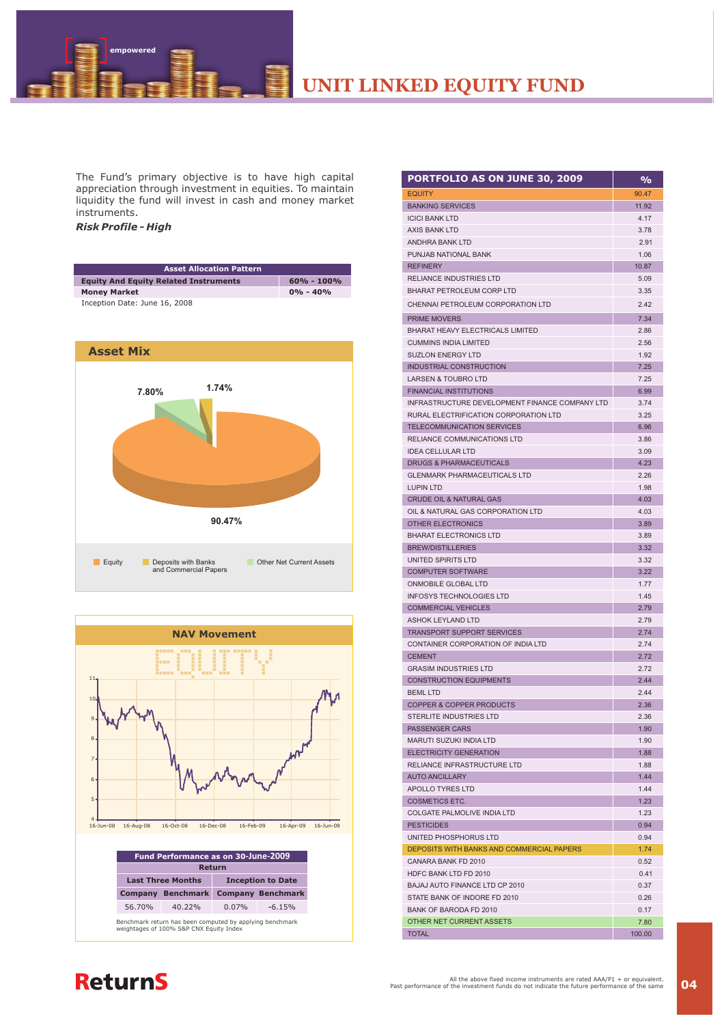**UNIT LINKED EQUITY FUND**

The Fund's primary objective is to have high capital appreciation through investment in equities. To maintain liquidity the fund will invest in cash and money market instruments.

# *Risk Profile - High*

 **empowered**

| <b>Asset Allocation Pattern</b>              |                |
|----------------------------------------------|----------------|
| <b>Equity And Equity Related Instruments</b> | $60\% - 100\%$ |
| <b>Money Market</b>                          | $0\% - 40\%$   |
| Inception Date: June 16, 2008                |                |





| <b>PORTFOLIO AS ON JUNE 30, 2009</b>                                    | %            |
|-------------------------------------------------------------------------|--------------|
| <b>EQUITY</b>                                                           | 90.47        |
| <b>BANKING SERVICES</b>                                                 | 11.92        |
| <b>ICICI BANK LTD</b>                                                   | 4.17         |
| <b>AXIS BANK LTD</b>                                                    | 3.78         |
| <b>ANDHRA BANK LTD</b>                                                  | 2.91         |
| PUNJAB NATIONAL BANK                                                    | 1.06         |
| <b>REFINERY</b>                                                         | 10.87        |
| <b>RELIANCE INDUSTRIES LTD</b>                                          | 5.09         |
| <b>BHARAT PETROLEUM CORP LTD</b>                                        | 3.35         |
| CHENNAI PETROLEUM CORPORATION LTD                                       | 2.42         |
| PRIME MOVERS                                                            | 7.34         |
| <b>BHARAT HEAVY ELECTRICALS LIMITED</b>                                 | 2.86         |
| <b>CUMMINS INDIA LIMITED</b>                                            | 2.56         |
| <b>SUZLON ENERGY LTD</b>                                                | 1.92         |
| <b>INDUSTRIAL CONSTRUCTION</b>                                          | 7.25         |
| <b>LARSEN &amp; TOUBRO LTD</b>                                          | 7.25         |
| <b>FINANCIAL INSTITUTIONS</b>                                           | 6.99         |
| INFRASTRUCTURE DEVELOPMENT FINANCE COMPANY LTD                          | 3.74         |
| RURAL ELECTRIFICATION CORPORATION LTD                                   | 3.25         |
| <b>TELECOMMUNICATION SERVICES</b>                                       | 6.96         |
| RELIANCE COMMUNICATIONS LTD                                             | 3.86         |
| <b>IDEA CELLULAR LTD</b>                                                | 3.09         |
| <b>DRUGS &amp; PHARMACEUTICALS</b>                                      | 4.23         |
| <b>GLENMARK PHARMACEUTICALS LTD</b>                                     | 2.26         |
| <b>LUPIN LTD</b>                                                        | 1.98         |
| <b>CRUDE OIL &amp; NATURAL GAS</b><br>OIL & NATURAL GAS CORPORATION LTD | 4.03<br>4.03 |
| OTHER ELECTRONICS                                                       | 3.89         |
| <b>BHARAT ELECTRONICS LTD</b>                                           | 3.89         |
| <b>BREW/DISTILLERIES</b>                                                | 3.32         |
| UNITED SPIRITS LTD                                                      | 3.32         |
| <b>COMPUTER SOFTWARE</b>                                                | 3.22         |
| ONMOBILE GLOBAL LTD                                                     | 1.77         |
| <b>INFOSYS TECHNOLOGIES LTD</b>                                         | 1.45         |
| <b>COMMERCIAL VEHICLES</b>                                              | 2.79         |
| <b>ASHOK LEYLAND LTD</b>                                                | 2.79         |
| <b>TRANSPORT SUPPORT SERVICES</b>                                       | 2.74         |
| CONTAINER CORPORATION OF INDIA LTD                                      | 2.74         |
| <b>CEMENT</b>                                                           | 2.72         |
| <b>GRASIM INDUSTRIES LTD</b>                                            | 2.72         |
| <b>CONSTRUCTION EQUIPMENTS</b>                                          | 2.44         |
| <b>BEML LTD</b>                                                         | 2.44         |
| <b>COPPER &amp; COPPER PRODUCTS</b>                                     | 2.36         |
| STERLITE INDUSTRIES LTD                                                 | 2.36         |
| <b>PASSENGER CARS</b>                                                   | 1.90         |
| <b>MARUTI SUZUKI INDIA LTD</b>                                          | 1.90         |
| <b>ELECTRICITY GENERATION</b>                                           | 1.88         |
| RELIANCE INFRASTRUCTURE LTD<br><b>AUTO ANCILLARY</b>                    | 1.88<br>1.44 |
| <b>APOLLO TYRES LTD</b>                                                 | 1.44         |
| <b>COSMETICS ETC.</b>                                                   | 1.23         |
| COLGATE PALMOLIVE INDIA LTD                                             | 1.23         |
| <b>PESTICIDES</b>                                                       | 0.94         |
| UNITED PHOSPHORUS LTD                                                   | 0.94         |
| DEPOSITS WITH BANKS AND COMMERCIAL PAPERS                               | 1.74         |
| CANARA BANK FD 2010                                                     | 0.52         |
| HDFC BANK LTD FD 2010                                                   | 0.41         |
| BAJAJ AUTO FINANCE LTD CP 2010                                          | 0.37         |
| STATE BANK OF INDORE FD 2010                                            | 0.26         |
| <b>BANK OF BARODA FD 2010</b>                                           | 0.17         |
| OTHER NET CURRENT ASSETS                                                | 7.80         |
| <b>TOTAL</b>                                                            | 100.00       |

# **ReturnS**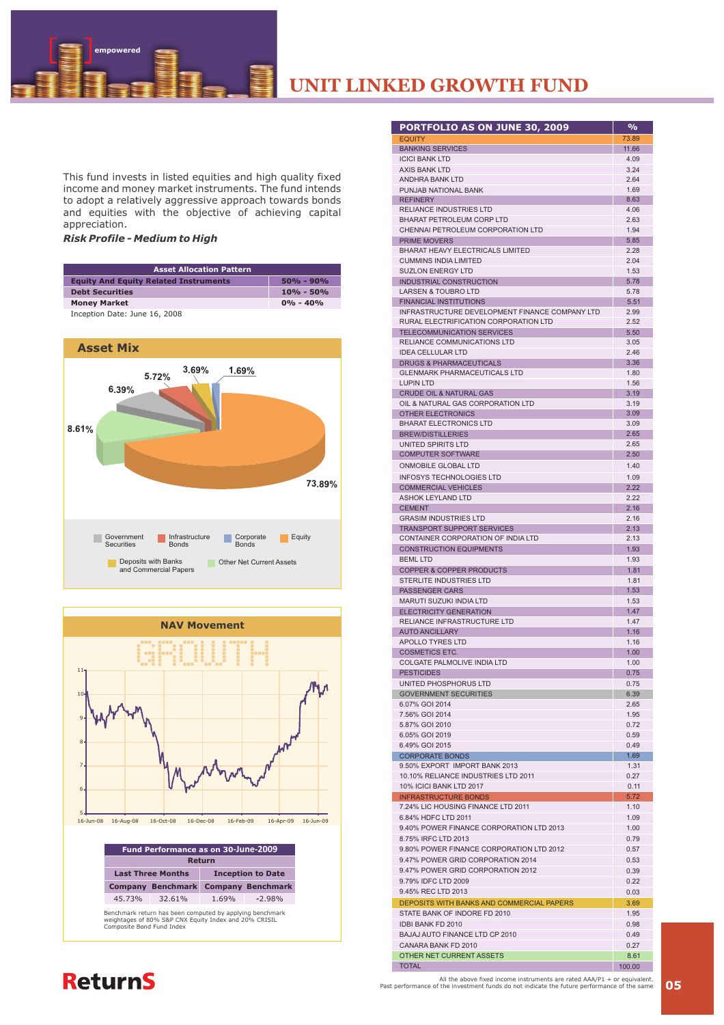**UNIT LINKED GROWTH FUND**

This fund invests in listed equities and high quality fixed income and money market instruments. The fund intends to adopt a relatively aggressive approach towards bonds and equities with the objective of achieving capital appreciation.

### *Risk Profile - Medium to High*

 **empowered**

| <b>Asset Allocation Pattern</b>              |               |  |
|----------------------------------------------|---------------|--|
| <b>Equity And Equity Related Instruments</b> | $50\% - 90\%$ |  |
| <b>Debt Securities</b>                       | $10\% - 50\%$ |  |
| <b>Money Market</b>                          | $0\% - 40\%$  |  |

Inception Date: June 16, 2008





| PORTFOLIO AS ON JUNE 30, 2009                                                   | $\overline{\frac{9}{6}}$ |
|---------------------------------------------------------------------------------|--------------------------|
| <b>EQUITY</b>                                                                   | 73.89                    |
| <b>BANKING SERVICES</b>                                                         | 11.66                    |
| <b>ICICI BANK LTD</b><br><b>AXIS BANK LTD</b>                                   | 4.09<br>3.24             |
| <b>ANDHRA BANK LTD</b>                                                          | 2.64                     |
| PUNJAB NATIONAL BANK                                                            | 169                      |
| <b>REFINERY</b><br>RELIANCE INDUSTRIES LTD                                      | 8.63<br>4.06             |
| <b>BHARAT PETROLEUM CORP LTD</b>                                                | 2.63                     |
| CHENNAI PETROLEUM CORPORATION LTD                                               | 1.94                     |
| <b>PRIME MOVERS</b>                                                             | 5.85                     |
| <b>BHARAT HEAVY ELECTRICALS LIMITED</b><br><b>CUMMINS INDIA LIMITED</b>         | 2.28<br>2.04             |
| <b>SUZLON ENERGY LTD</b>                                                        | 1.53                     |
| INDUSTRIAL CONSTRUCTION                                                         | 5.78                     |
| <b>LARSEN &amp; TOUBRO LTD</b>                                                  | 5.78                     |
| <b>FINANCIAL INSTITUTIONS</b><br>INFRASTRUCTURE DEVELOPMENT FINANCE COMPANY LTD | 5.51<br>2.99             |
| RURAL ELECTRIFICATION CORPORATION LTD                                           | 2.52                     |
| <b>TELECOMMUNICATION SERVICES</b>                                               | 5.50                     |
| <b>RELIANCE COMMUNICATIONS LTD</b>                                              | 3.05                     |
| <b>IDEA CELLULAR LTD</b><br><b>DRUGS &amp; PHARMACEUTICALS</b>                  | 2.46<br>3.36             |
| <b>GLENMARK PHARMACEUTICALS LTD</b>                                             | 1.80                     |
| <b>LUPIN LTD</b>                                                                | 1.56                     |
| <b>CRUDE OIL &amp; NATURAL GAS</b>                                              | 3.19                     |
| OIL & NATURAL GAS CORPORATION LTD<br>OTHER ELECTRONICS                          | 3.19<br>3.09             |
| <b>BHARAT ELECTRONICS LTD</b>                                                   | 3.09                     |
| <b>BREW/DISTILLERIES</b>                                                        | 2.65                     |
| UNITED SPIRITS LTD                                                              | 2.65                     |
| <b>COMPUTER SOFTWARE</b>                                                        | 2.50<br>1.40             |
| <b>ONMOBILE GLOBAL LTD</b><br><b>INFOSYS TECHNOLOGIES LTD</b>                   | 1.09                     |
| <b>COMMERCIAL VEHICLES</b>                                                      | 2.22                     |
| <b>ASHOK LEYLAND LTD</b>                                                        | 2.22                     |
| <b>CEMENT</b>                                                                   | 2.16                     |
| <b>GRASIM INDUSTRIES LTD</b><br><b>TRANSPORT SUPPORT SERVICES</b>               | 2.16<br>2.13             |
| CONTAINER CORPORATION OF INDIA LTD                                              | 2.13                     |
| <b>CONSTRUCTION EQUIPMENTS</b>                                                  | 1.93                     |
| <b>BEML LTD</b>                                                                 | 1.93                     |
| <b>COPPER &amp; COPPER PRODUCTS</b><br><b>STERLITE INDUSTRIES LTD</b>           | 1.81<br>1.81             |
| <b>PASSENGER CARS</b>                                                           | 1.53                     |
| <b>MARUTI SUZUKI INDIA LTD</b>                                                  | 1.53                     |
| <b>ELECTRICITY GENERATION</b>                                                   | 1.47                     |
| RELIANCE INFRASTRUCTURE LTD<br><b>AUTO ANCILLARY</b>                            | 1.47<br>1.16             |
| APOLLO TYRES LTD                                                                | 1.16                     |
| <b>COSMETICS ETC.</b>                                                           | 1.00                     |
| <b>COLGATE PALMOLIVE INDIA LTD</b>                                              | 1.00                     |
| <b>PESTICIDES</b><br>UNITED PHOSPHORUS LTD                                      | 0.75<br>0.75             |
| <b>GOVERNMENT SECURITIES</b>                                                    | 6.39                     |
| 6.07% GOI 2014                                                                  | 2.65                     |
| 7.56% GOI 2014                                                                  | 1.95                     |
| 5.87% GOI 2010<br>6.05% GOI 2019                                                | 0.72<br>0.59             |
| 6.49% GOI 2015                                                                  | 0.49                     |
| <b>CORPORATE BONDS</b>                                                          | 1.69                     |
| 9.50% EXPORT IMPORT BANK 2013                                                   | 1.31                     |
| 10.10% RELIANCE INDUSTRIES LTD 2011<br>10% ICICI BANK LTD 2017                  | 0.27<br>0.11             |
| <b>INFRASTRUCTURE BONDS</b>                                                     | 5.72                     |
| 7.24% LIC HOUSING FINANCE LTD 2011                                              | 1.10                     |
| 6.84% HDFC LTD 2011                                                             | 1.09                     |
| 9.40% POWER FINANCE CORPORATION LTD 2013<br>8.75% IRFC LTD 2013                 | 1.00<br>0.79             |
| 9.80% POWER FINANCE CORPORATION LTD 2012                                        | 0.57                     |
| 9.47% POWER GRID CORPORATION 2014                                               | 0.53                     |
| 9.47% POWER GRID CORPORATION 2012                                               | 0.39                     |
| 9.79% IDFC LTD 2009                                                             | 0.22                     |
| 9.45% REC LTD 2013<br>DEPOSITS WITH BANKS AND COMMERCIAL PAPERS                 | 0.03<br>3.69             |
| STATE BANK OF INDORE FD 2010                                                    | 1.95                     |
| IDBI BANK FD 2010                                                               | 0.98                     |
| BAJAJ AUTO FINANCE LTD CP 2010                                                  | 0.49                     |
| CANARA BANK FD 2010<br>OTHER NET CURRENT ASSETS                                 | 0.27                     |
| <b>TOTAL</b>                                                                    | 8.61<br>100.00           |

# **ReturnS**

All the above fixed income instruments are rated AAA/P1 + or equivalent.<br>Past performance of the investment funds do not indicate the future performance of the same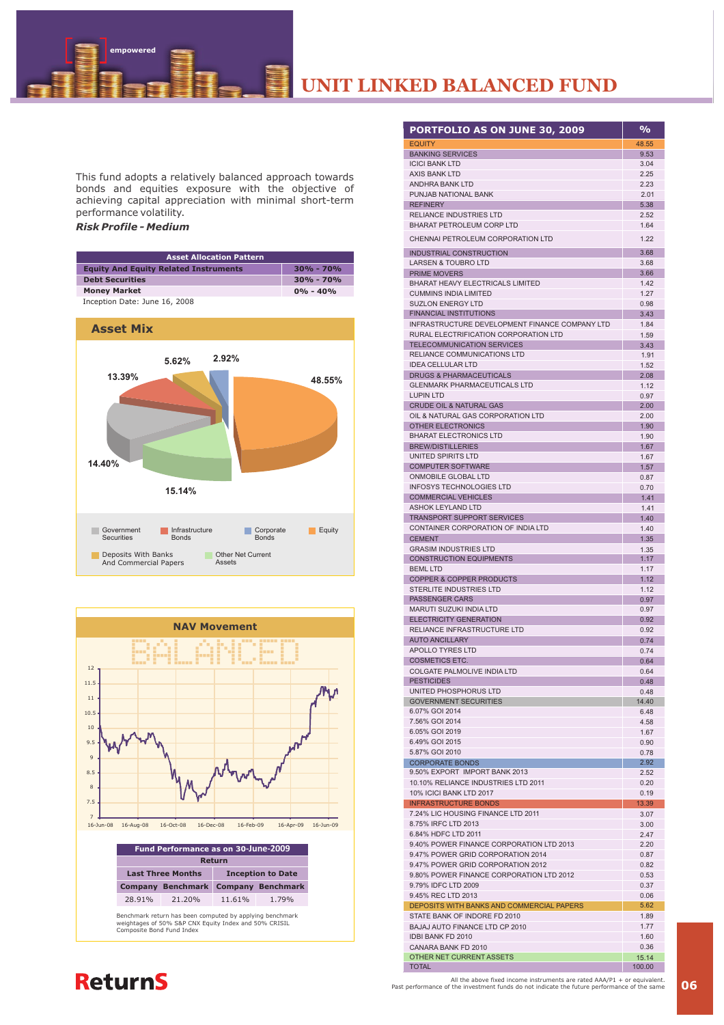This fund adopts a relatively balanced approach towards bonds and equities exposure with the objective of achieving capital appreciation with minimal short-term performance volatility.

### *Risk Profile - Medium*

 **empowered**

| <b>Asset Allocation Pattern</b>              |               |  |
|----------------------------------------------|---------------|--|
| <b>Equity And Equity Related Instruments</b> | $30\% - 70\%$ |  |
| <b>Debt Securities</b>                       | $30\% - 70\%$ |  |
| <b>Money Market</b>                          | $0\% - 40\%$  |  |

Inception Date: June 16, 2008





| PORTFOLIO AS ON JUNE 30, 2009                                                           | $\frac{0}{0}$ |
|-----------------------------------------------------------------------------------------|---------------|
| <b>EQUITY</b>                                                                           | 48.55         |
| <b>BANKING SERVICES</b>                                                                 | 9.53          |
| <b>ICICI BANK LTD</b><br><b>AXIS BANK LTD</b>                                           | 3.04<br>2.25  |
| <b>ANDHRA BANK LTD</b>                                                                  | 2.23          |
| PUNJAB NATIONAL BANK                                                                    | 2.01          |
| <b>REFINERY</b>                                                                         | 5.38          |
| <b>RELIANCE INDUSTRIES LTD</b><br><b>BHARAT PETROLEUM CORP LTD</b>                      | 2.52<br>1.64  |
| CHENNAI PETROLEUM CORPORATION LTD                                                       | 1.22          |
| <b>INDUSTRIAL CONSTRUCTION</b>                                                          | 3.68          |
| <b>LARSEN &amp; TOUBRO LTD</b>                                                          | 3.68          |
| <b>PRIME MOVERS</b>                                                                     | 3.66          |
| <b>BHARAT HEAVY ELECTRICALS LIMITED</b><br><b>CUMMINS INDIA LIMITED</b>                 | 1.42<br>1.27  |
| <b>SUZLON ENERGY LTD</b>                                                                | 0.98          |
| <b>FINANCIAL INSTITUTIONS</b>                                                           | 3.43          |
| INFRASTRUCTURE DEVELOPMENT FINANCE COMPANY LTD<br>RURAL ELECTRIFICATION CORPORATION LTD | 1.84<br>1.59  |
| TELECOMMUNICATION SERVICES                                                              | 3.43          |
| RELIANCE COMMUNICATIONS LTD                                                             | 1.91          |
| <b>IDEA CELLULAR LTD</b>                                                                | 1.52          |
| <b>DRUGS &amp; PHARMACEUTICALS</b><br><b>GLENMARK PHARMACEUTICALS LTD</b>               | 2.08<br>1.12  |
| <b>LUPIN LTD</b>                                                                        | 0.97          |
| <b>CRUDE OIL &amp; NATURAL GAS</b>                                                      | 2.00          |
| OIL & NATURAL GAS CORPORATION LTD<br>OTHER ELECTRONICS                                  | 2.00          |
| <b>BHARAT ELECTRONICS LTD</b>                                                           | 1.90<br>1.90  |
| <b>BREW/DISTILLERIES</b>                                                                | 1.67          |
| UNITED SPIRITS LTD                                                                      | 1.67          |
| <b>COMPUTER SOFTWARE</b><br>ONMOBILE GLOBAL LTD                                         | 1.57          |
| <b>INFOSYS TECHNOLOGIES LTD</b>                                                         | 0.87<br>0.70  |
| <b>COMMERCIAL VEHICLES</b>                                                              | 1.41          |
| <b>ASHOK LEYLAND LTD</b>                                                                | 1.41          |
| <b>TRANSPORT SUPPORT SERVICES</b><br>CONTAINER CORPORATION OF INDIA LTD                 | 1.40          |
| <b>CEMENT</b>                                                                           | 1.40<br>1.35  |
| <b>GRASIM INDUSTRIES LTD</b>                                                            | 1.35          |
| <b>CONSTRUCTION EQUIPMENTS</b>                                                          | 1.17          |
| <b>BEML LTD</b><br><b>COPPER &amp; COPPER PRODUCTS</b>                                  | 1.17<br>1.12  |
| <b>STERLITE INDUSTRIES LTD</b>                                                          | 1.12          |
| <b>PASSENGER CARS</b>                                                                   | 0.97          |
| <b>MARUTI SUZUKI INDIA LTD</b><br><b>ELECTRICITY GENERATION</b>                         | 0.97<br>0.92  |
| RELIANCE INFRASTRUCTURE LTD                                                             | 0.92          |
| <b>AUTO ANCILLARY</b>                                                                   | 0.74          |
| <b>APOLLO TYRES LTD</b>                                                                 | 0.74          |
| <b>COSMETICS ETC.</b><br>COLGATE PALMOLIVE INDIA LTD                                    | 0.64<br>0.64  |
| <b>PESTICIDES</b>                                                                       | 0.48          |
| UNITED PHOSPHORUS LTD                                                                   | 0.48          |
| <b>GOVERNMENT SECURITIES</b><br>6.07% GOI 2014                                          | 14.40<br>6.48 |
| 7.56% GOI 2014                                                                          | 4.58          |
| 6.05% GOI 2019                                                                          | 1.67          |
| 6.49% GOI 2015<br>5.87% GOI 2010                                                        | 0.90          |
| <b>CORPORATE BONDS</b>                                                                  | 0.78<br>2.92  |
| 9.50% EXPORT IMPORT BANK 2013                                                           | 2.52          |
| 10.10% RELIANCE INDUSTRIES LTD 2011                                                     | 0.20          |
| 10% ICICI BANK LTD 2017<br><b>INFRASTRUCTURE BONDS</b>                                  | 0.19<br>13.39 |
| 7.24% LIC HOUSING FINANCE LTD 2011                                                      | 3.07          |
| 8.75% IRFC LTD 2013                                                                     | 3.00          |
| 6.84% HDFC LTD 2011                                                                     | 2.47          |
| 9.40% POWER FINANCE CORPORATION LTD 2013<br>9.47% POWER GRID CORPORATION 2014           | 2.20<br>0.87  |
| 9.47% POWER GRID CORPORATION 2012                                                       | 0.82          |
| 9.80% POWER FINANCE CORPORATION LTD 2012                                                | 0.53          |
| 9.79% IDFC LTD 2009                                                                     | 0.37          |
| 9.45% REC LTD 2013<br>DEPOSITS WITH BANKS AND COMMERCIAL PAPERS                         | 0.06<br>5.62  |
| STATE BANK OF INDORE FD 2010                                                            | 1.89          |
| BAJAJ AUTO FINANCE LTD CP 2010                                                          | 1.77          |
| IDBI BANK FD 2010<br>CANARA BANK FD 2010                                                | 1.60<br>0.36  |
| OTHER NET CURRENT ASSETS                                                                | 15.14         |
| <b>TOTAL</b>                                                                            | 100.00        |

# **ReturnS**

All the above fixed income instruments are rated AAA/P1 + or equivalent.<br>Past performance of the investment funds do not indicate the future performance of the same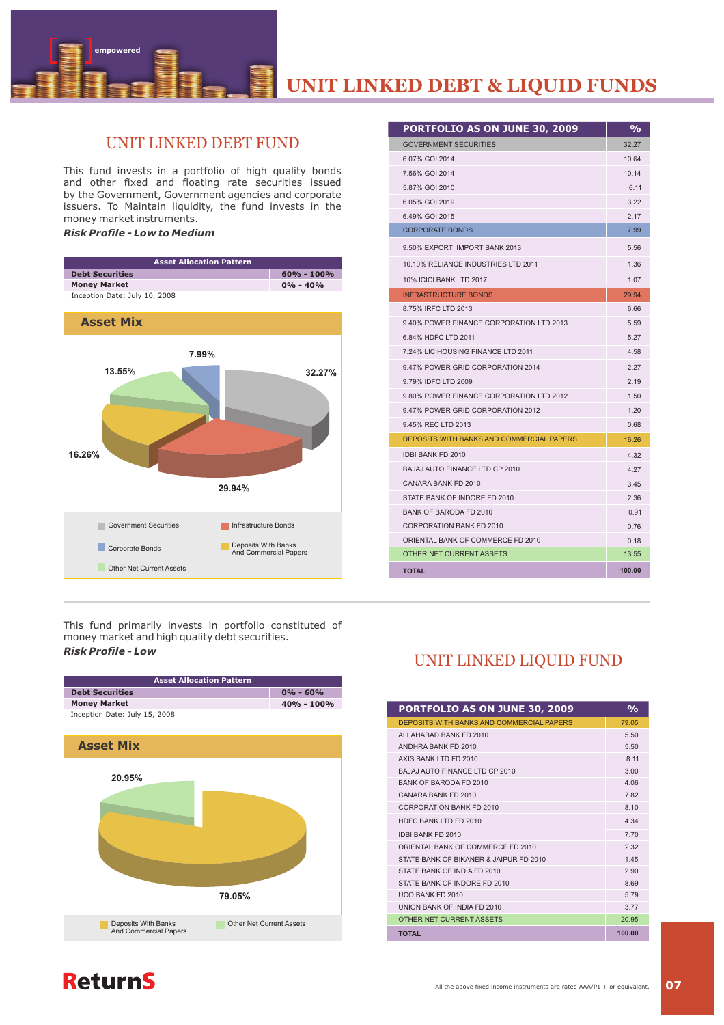

# UNIT LINKED DEBT FUND

This fund invests in a portfolio of high quality bonds and other fixed and floating rate securities issued by the Government, Government agencies and corporate issuers. To Maintain liquidity, the fund invests in the money market instruments.

## *Risk Profile - Low to Medium*

 **empowered**



This fund primarily invests in portfolio constituted of money market and high quality debt securities. *Risk Profile - Low*



| PORTFOLIO AS ON JUNE 30, 2009                    | %      |
|--------------------------------------------------|--------|
| <b>GOVERNMENT SECURITIES</b>                     | 32.27  |
| 6.07% GOI 2014                                   | 10.64  |
| 7.56% GOI 2014                                   | 10.14  |
| 5.87% GOI 2010                                   | 6.11   |
| 6.05% GOI 2019                                   | 3.22   |
| 6.49% GOI 2015                                   | 2.17   |
| <b>CORPORATE BONDS</b>                           | 7.99   |
| 9.50% EXPORT IMPORT BANK 2013                    | 5.56   |
| 10.10% RELIANCE INDUSTRIES LTD 2011              | 1.36   |
| 10% ICICI BANK LTD 2017                          | 1.07   |
| <b>INFRASTRUCTURE BONDS</b>                      | 29.94  |
| 8.75% IRFC LTD 2013                              | 6.66   |
| 9.40% POWER FINANCE CORPORATION LTD 2013         | 5.59   |
| 6.84% HDFC LTD 2011                              | 5.27   |
| 7.24% LIC HOUSING FINANCE LTD 2011               | 4.58   |
| 9.47% POWER GRID CORPORATION 2014                | 2.27   |
| 9.79% IDFC LTD 2009                              | 2.19   |
| 9.80% POWER FINANCE CORPORATION LTD 2012         | 1.50   |
| 9.47% POWER GRID CORPORATION 2012                | 1.20   |
| 9.45% REC LTD 2013                               | 0.68   |
| <b>DEPOSITS WITH BANKS AND COMMERCIAL PAPERS</b> | 16.26  |
| <b>IDBI BANK FD 2010</b>                         | 4.32   |
| <b>BAJAJ AUTO FINANCE LTD CP 2010</b>            | 4.27   |
| CANARA BANK FD 2010                              | 3.45   |
| STATE BANK OF INDORE FD 2010                     | 2.36   |
| BANK OF BARODA FD 2010                           | 0.91   |
| <b>CORPORATION BANK FD 2010</b>                  | 0.76   |
| ORIENTAL BANK OF COMMERCE FD 2010                | 0.18   |
| OTHER NET CURRENT ASSETS                         | 13.55  |
| <b>TOTAL</b>                                     | 100.00 |

# UNIT LINKED LIQUID FUND

| <b>PORTFOLIO AS ON JUNE 30, 2009</b>      | $\frac{1}{2}$ |
|-------------------------------------------|---------------|
| DEPOSITS WITH BANKS AND COMMERCIAL PAPERS | 79.05         |
| ALLAHARAD BANK ED 2010                    | 5.50          |
| ANDHRA BANK ED 2010                       | 5.50          |
| AXIS BANK I TD FD 2010                    | 8 11          |
| BAJAJ AUTO FINANCE LTD CP 2010            | 3.00          |
| <b>BANK OF BARODA FD 2010</b>             | 4.06          |
| CANARA BANK FD 2010                       | 782           |
| CORPORATION BANK ED 2010                  | 8.10          |
| HDEC BANK I TD ED 2010                    | 4.34          |
| <b>IDBI BANK ED 2010</b>                  | 770           |
| ORIENTAL BANK OF COMMERCE ED 2010         | 2.32          |
| STATE BANK OF BIKANER & JAIPUR ED 2010    | 145           |
| STATE BANK OF INDIA ED 2010               | 2.90          |
| STATE BANK OF INDORE FD 2010              | 8.69          |
| <b>LICO BANK ED 2010</b>                  | 579           |
| <b>UNION BANK OF INDIA ED 2010</b>        | 377           |
| OTHER NET CURRENT ASSETS                  | 20.95         |
| <b>TOTAL</b>                              | 100.00        |

# **ReturnS**